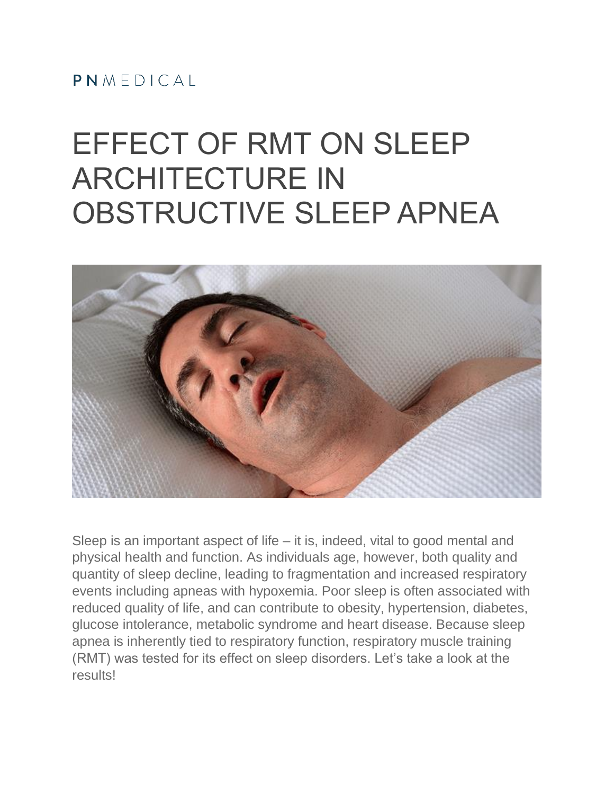#### PNMEDICAL

# EFFECT OF RMT ON SLEEP ARCHITECTURE IN OBSTRUCTIVE SLEEP APNEA



Sleep is an important aspect of life – it is, indeed, vital to good mental and physical health and function. As individuals age, however, both quality and quantity of sleep decline, leading to fragmentation and increased respiratory events including apneas with hypoxemia. Poor sleep is often associated with reduced quality of life, and can contribute to obesity, hypertension, diabetes, glucose intolerance, metabolic syndrome and heart disease. Because sleep apnea is inherently tied to respiratory function, respiratory muscle training (RMT) was tested for its effect on sleep disorders. Let's take a look at the results!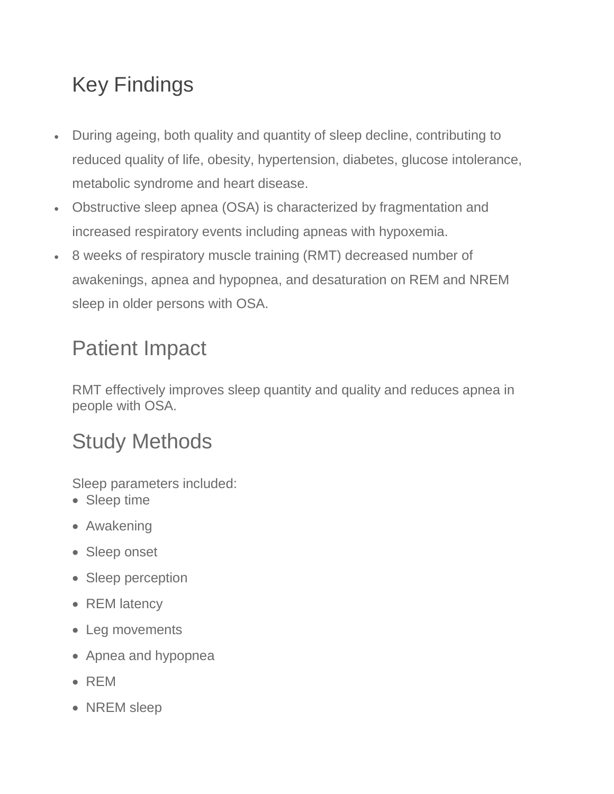## Key Findings

- During ageing, both quality and quantity of sleep decline, contributing to reduced quality of life, obesity, hypertension, diabetes, glucose intolerance, metabolic syndrome and heart disease.
- Obstructive sleep apnea (OSA) is characterized by fragmentation and increased respiratory events including apneas with hypoxemia.
- 8 weeks of respiratory muscle training (RMT) decreased number of awakenings, apnea and hypopnea, and desaturation on REM and NREM sleep in older persons with OSA.

### Patient Impact

RMT effectively improves sleep quantity and quality and reduces apnea in people with OSA.

#### Study Methods

Sleep parameters included:

- Sleep time
- Awakening
- Sleep onset
- Sleep perception
- REM latency
- Leg movements
- Apnea and hypopnea
- REM
- NREM sleep